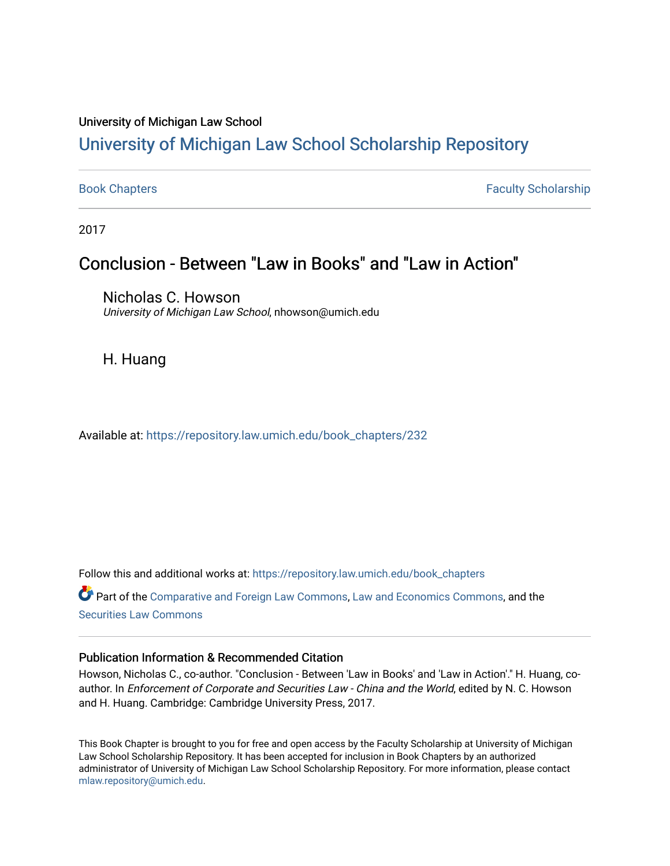#### University of Michigan Law School

# [University of Michigan Law School Scholarship Repository](https://repository.law.umich.edu/)

[Book Chapters](https://repository.law.umich.edu/book_chapters) Faculty Scholarship

2017

# Conclusion - Between "Law in Books" and "Law in Action"

Nicholas C. Howson University of Michigan Law School, nhowson@umich.edu

H. Huang

Available at: [https://repository.law.umich.edu/book\\_chapters/232](https://repository.law.umich.edu/book_chapters/232) 

Follow this and additional works at: [https://repository.law.umich.edu/book\\_chapters](https://repository.law.umich.edu/book_chapters?utm_source=repository.law.umich.edu%2Fbook_chapters%2F232&utm_medium=PDF&utm_campaign=PDFCoverPages)

Part of the [Comparative and Foreign Law Commons,](http://network.bepress.com/hgg/discipline/836?utm_source=repository.law.umich.edu%2Fbook_chapters%2F232&utm_medium=PDF&utm_campaign=PDFCoverPages) [Law and Economics Commons](http://network.bepress.com/hgg/discipline/612?utm_source=repository.law.umich.edu%2Fbook_chapters%2F232&utm_medium=PDF&utm_campaign=PDFCoverPages), and the [Securities Law Commons](http://network.bepress.com/hgg/discipline/619?utm_source=repository.law.umich.edu%2Fbook_chapters%2F232&utm_medium=PDF&utm_campaign=PDFCoverPages)

### Publication Information & Recommended Citation

Howson, Nicholas C., co-author. "Conclusion - Between 'Law in Books' and 'Law in Action'." H. Huang, coauthor. In Enforcement of Corporate and Securities Law - China and the World, edited by N. C. Howson and H. Huang. Cambridge: Cambridge University Press, 2017.

This Book Chapter is brought to you for free and open access by the Faculty Scholarship at University of Michigan Law School Scholarship Repository. It has been accepted for inclusion in Book Chapters by an authorized administrator of University of Michigan Law School Scholarship Repository. For more information, please contact [mlaw.repository@umich.edu.](mailto:mlaw.repository@umich.edu)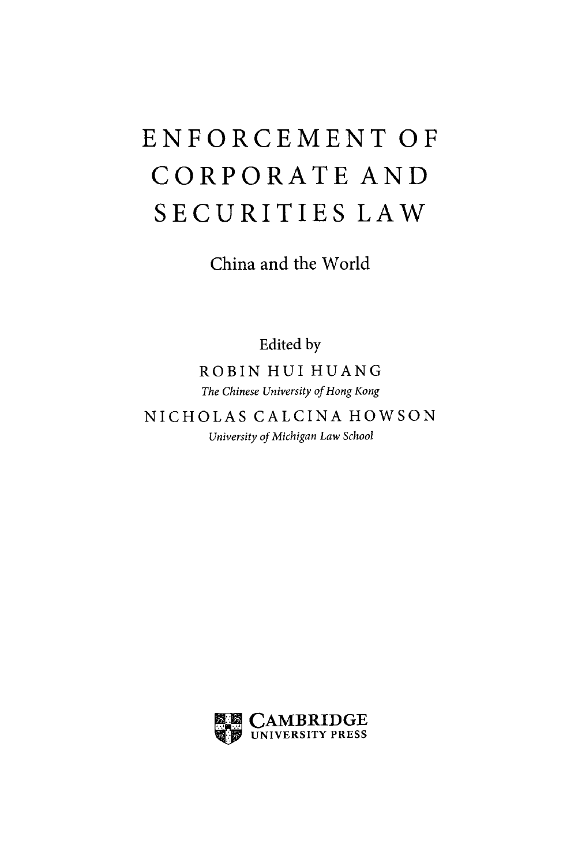# **ENFORCEMENT OF CORPORATE AND SECURITIES LAW**

China and the World

Edited by

ROBIN HUI HUANG *The Chinese University of Hong Kong* 

NICHOLAS CALCINA HOWSON *University of Michigan Law School* 

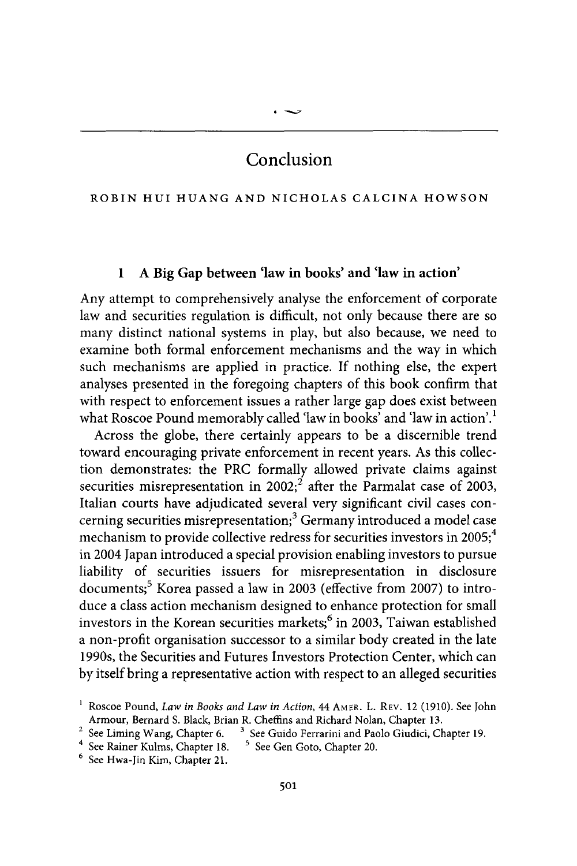## **Conclusion**

#### ROBIN HUI HUANG AND NICHOLAS CALCINA HOWSON

#### **1 A Big Gap between 'law in books' and 'law in action'**

Any attempt to comprehensively analyse the enforcement of corporate law and securities regulation is difficult, not only because there are so many distinct national systems in play, but also because, we need to examine both formal enforcement mechanisms and the way in which such mechanisms are applied in practice. If nothing else, the expert analyses presented in the foregoing chapters of this book confirm that with respect to enforcement issues a rather large gap does exist between what Roscoe Pound memorably called 'law in books' and 'law in action'.<sup>1</sup>

Across the globe, there certainly appears to be a discernible trend toward encouraging private enforcement in recent years. As this collection demonstrates: the PRC formally allowed private claims against securities misrepresentation in 2002;<sup>2</sup> after the Parmalat case of 2003, Italian courts have adjudicated several very significant civil cases concerning securities misrepresentation;<sup>3</sup> Germany introduced a model case mechanism to provide collective redress for securities investors in 2005;<sup>4</sup> in 2004 Japan introduced a special provision enabling investors to pursue liability of securities issuers for misrepresentation in disclosure documents;<sup>5</sup> Korea passed a law in 2003 (effective from 2007) to introduce a class action mechanism designed to enhance protection for small investors in the Korean securities markets;<sup>6</sup> in 2003, Taiwan established a non-profit organisation successor to a similar body created in the late 1990s, the Securities and Futures Investors Protection Center, which can by itself bring a representative action with respect to an alleged securities

<sup>1</sup> Roscoe Pound, *Law in Books and Law in Action,* 44 AMER. L. REv. 12 (1910). See John Armour, Bernard S. Black, Brian R. Cheffins and Richard Nolan, Chapter 13.<br><sup>2</sup> See Liming Wang, Chapter 6.  $^3$  See Guido Ferrarini and Paolo Giudici, Ch

<sup>&</sup>lt;sup>2</sup> See Liming Wang, Chapter 6.  $3$  See Guido Ferrarini and Paolo Giudici, Chapter 19. 4 See Rainer Kulms, Chapter 18.  $5$  See Gen Goto, Chapter 20.

<sup>&</sup>lt;sup>6</sup> See Hwa-Jin Kim, Chapter 21.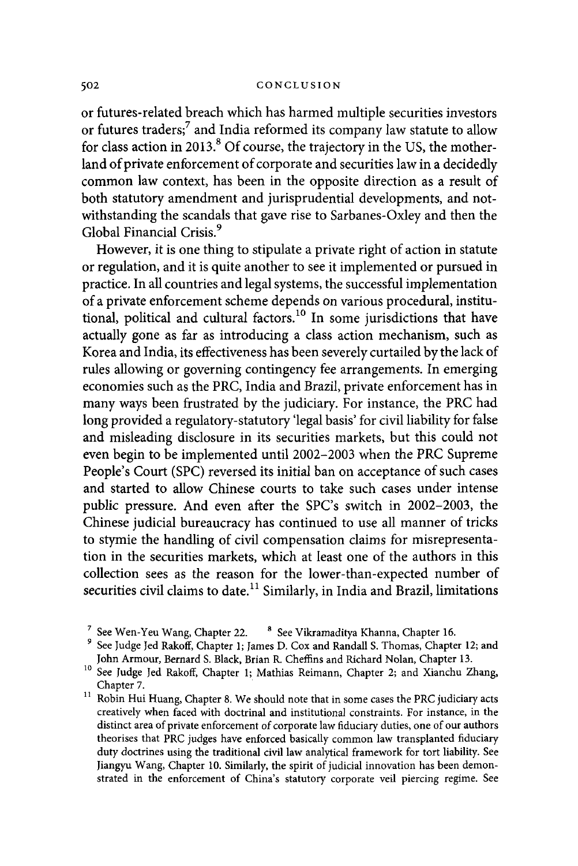#### 502 CONCLUSION

or futures-related breach which has harmed multiple securities investors or futures traders;<sup>7</sup> and India reformed its company law statute to allow for class action in 2013.<sup>8</sup> Of course, the trajectory in the US, the motherland of private enforcement of corporate and securities law in a decidedly common law context, has been in the opposite direction as a result of both statutory amendment and jurisprudential developments, and notwithstanding the scandals that gave rise to Sarbanes-Oxley and then the Global Financial Crisis.<sup>9</sup>

However, it is one thing to stipulate a private right of action in statute or regulation, and it is quite another to see it implemented or pursued in practice. In all countries and legal systems, the successful implementation of a private enforcement scheme depends on various procedural, institutional, political and cultural factors.<sup>10</sup> In some jurisdictions that have actually gone as far as introducing a class action mechanism, such as Korea and India, its effectiveness has been severely curtailed by the lack of rules allowing or governing contingency fee arrangements. In emerging economies such as the PRC, India and Brazil, private enforcement has in many ways been frustrated by the judiciary. For instance, the PRC had long provided a regulatory-statutory 'legal basis' for civil liability for false and misleading disclosure in its securities markets, but this could not even begin to be implemented until 2002-2003 when the PRC Supreme People's Court (SPC) reversed its initial ban on acceptance of such cases and started to allow Chinese courts to take such cases under intense public pressure. And even after the SPC's switch in 2002-2003, the Chinese judicial bureaucracy has continued to use all manner of tricks to stymie the handling of civil compensation claims for misrepresentation in the securities markets, which at least one of the authors in this collection sees as the reason for the lower-than-expected number of securities civil claims to date.<sup>11</sup> Similarly, in India and Brazil, limitations

 $<sup>7</sup>$  See Wen-Yeu Wang, Chapter 22.  $<sup>8</sup>$  See Vikramaditya Khanna, Chapter 16.</sup></sup>

<sup>11</sup> Robin Hui Huang, Chapter 8. We should note that in some cases the PRC judiciary acts creatively when faced with doctrinal and institutional constraints. For instance, in the distinct area of private enforcement of corporate law fiduciary duties, one of our authors theorises that PRC judges have enforced basically common law transplanted fiduciary duty doctrines using the traditional civil law analytical framework for tort liability. See Jiangyu Wang, Chapter 10. Similarly, the spirit of judicial innovation has been demonstrated in the enforcement of China's statutory corporate veil piercing regime. See

<sup>&</sup>lt;sup>9</sup> See Judge Jed Rakoff, Chapter 1; James D. Cox and Randall S. Thomas, Chapter 12; and

John Armour, Bernard S. Black, Brian R. Cheffins and Richard Nolan, Chapter 13. 10 See Judge Jed Rakoff, Chapter 1; Mathias Reimann, Chapter 2; and Xianchu Zhang, Chapter 7.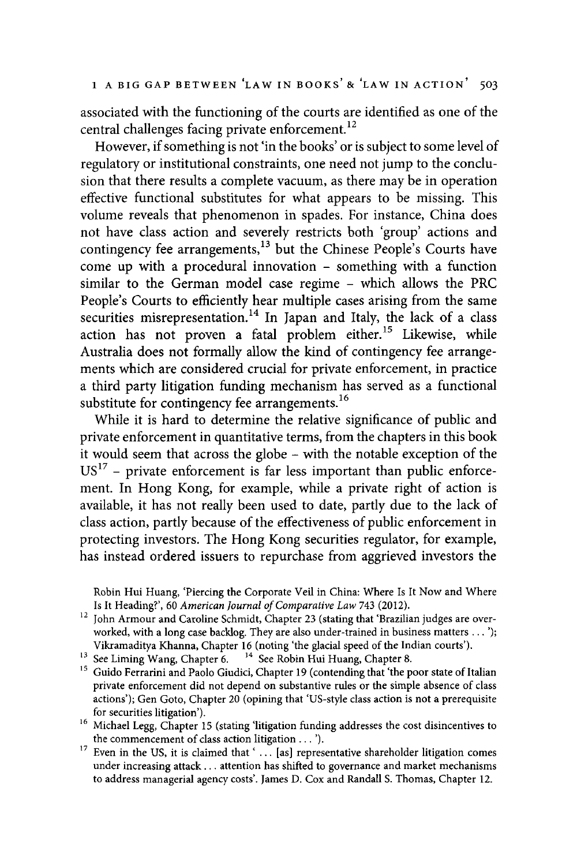1 A BIG GAP BETWEEN 'LAW IN BOOKS' & 'LAW IN ACTION' 503

associated with the functioning of the courts are identified as one of the central challenges facing private enforcement. <sup>12</sup>

However, if something is not 'in the books' or is subject to some level of regulatory or institutional constraints, one need not jump to the conclusion that there results a complete vacuum, as there may be in operation effective functional substitutes for what appears to be missing. This volume reveals that phenomenon in spades. For instance, China does not have class action and severely restricts both 'group' actions and contingency fee arrangements,<sup>13</sup> but the Chinese People's Courts have come up with a procedural innovation - something with a function similar to the German model case regime - which allows the PRC People's Courts to efficiently hear multiple cases arising from the same securities misrepresentation.<sup>14</sup> In Japan and Italy, the lack of a class action has not proven a fatal problem either.<sup>15</sup> Likewise, while Australia does not formally allow the kind of contingency fee arrangements which are considered crucial for private enforcement, in practice a third party litigation funding mechanism has served as a functional substitute for contingency fee arrangements.<sup>16</sup>

While it is hard to determine the relative significance of public and private enforcement in quantitative terms, from the chapters in this book it would seem that across the globe - with the notable exception of the  $US<sup>17</sup>$  – private enforcement is far less important than public enforcement. In Hong Kong, for example, while a private right of action is available, it has not really been used to date, partly due to the lack of class action, partly because of the effectiveness of public enforcement in protecting investors. The Hong Kong securities regulator, for example, has instead ordered issuers to repurchase from aggrieved investors the

Robin Hui Huang, 'Piercing the Corporate Veil in China: Where Is It Now and Where

- Is It Heading?', 60 *American Journal of Comparative Law* 743 (2012). 12 John Armour and Caroline Schmidt, Chapter 23 (stating that 'Brazilian judges are overworked, with a long case backlog. They are also under-trained in business matters ... ');<br>Vikramaditya Khanna, Chapter 16 (noting 'the glacial speed of the Indian courts').
- 
- <sup>13</sup> See Liming Wang, Chapter 6. <sup>14</sup> See Robin Hui Huang, Chapter 8.<br><sup>15</sup> Guido Ferrarini and Paolo Giudici, Chapter 19 (contending that 'the poor state of Italian private enforcement did not depend on substantive rules or the simple absence of class actions'); Gen Goto, Chapter 20 (opining that 'US-style class action is not a prerequisite
- for securities litigation').  $^{16}\,$  Michael Legg, Chapter 15 (stating 'litigation funding addresses the cost disincentives to
- the commencement of class action litigation ... ').<br><sup>17</sup> Even in the US, it is claimed that '... [as] representative shareholder litigation comes under increasing attack ... attention has shifted to governance and market mechanisms to address managerial agency costs'. James D. Cox and Randall S. Thomas, Chapter 12.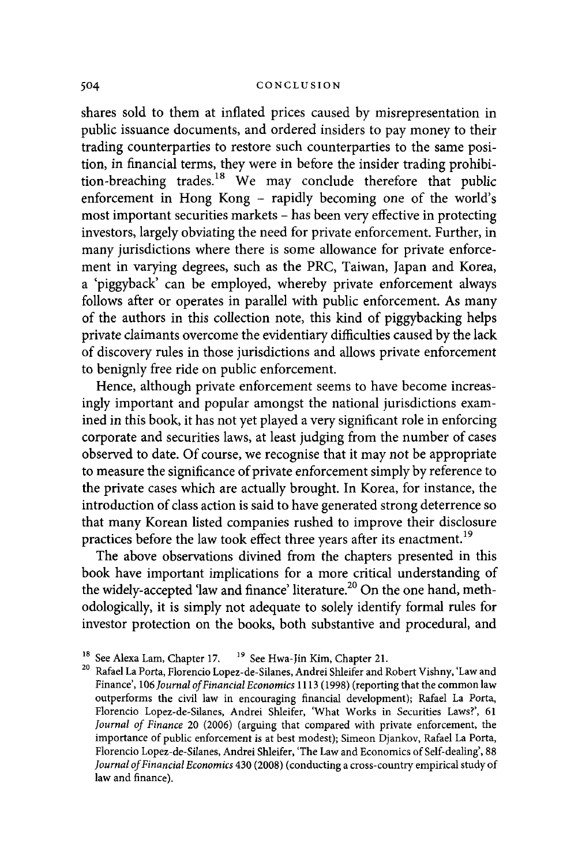shares sold to them at inflated prices caused by misrepresentation in public issuance documents, and ordered insiders to pay money to their trading counterparties to restore such counterparties to the same position, in financial terms, they were in before the insider trading prohibition-breaching trades.<sup>18</sup> We may conclude therefore that public enforcement in Hong Kong - rapidly becoming one of the world's most important securities markets - has been very effective in protecting investors, largely obviating the need for private enforcement. Further, in many jurisdictions where there is some allowance for private enforcement in varying degrees, such as the PRC, Taiwan, Japan and Korea, a 'piggyback' can be employed, whereby private enforcement always follows after or operates in parallel with public enforcement. As many of the authors in this collection note, this kind of piggybacking helps private claimants overcome the evidentiary difficulties caused by the lack of discovery rules in those jurisdictions and allows private enforcement to benignly free ride on public enforcement.

Hence, although private enforcement seems to have become increasingly important and popular amongst the national jurisdictions examined in this book, it has not yet played a very significant role in enforcing corporate and securities laws, at least judging from the number of cases observed to date. Of course, we recognise that it may not be appropriate to measure the significance of private enforcement simply by reference to the private cases which are actually brought. In Korea, for instance, the introduction of class action is said to have generated strong deterrence so that many Korean listed companies rushed to improve their disclosure practices before the law took effect three years after its enactment. <sup>19</sup>

The above observations divined from the chapters presented in this book have important implications for a more critical understanding of the widely-accepted 'law and finance' literature.<sup>20</sup> On the one hand, methodologically, it is simply not adequate to solely identify formal rules for investor protection on the books, both substantive and procedural, and

 $^{18}$  See Alexa Lam, Chapter 17.  $\quad ^{19}$  See Hwa-Jin Kim, Chapter 21. 20 Rafael La Porta, Florencio Lopez-de-Silanes, Andrei Shleifer and Robert Vishny, 'Law and Finance', 106 *Journal of Financial Economics* 1113 ( 1998) (reporting that the common law outperforms the civil law in encouraging financial development); Rafael La Porta, Florencio Lopez-de-Silanes, Andrei Shleifer, 'What Works in Securities Laws?', 61 *Journal of Finance* 20 (2006) (arguing that compared with private enforcement, the importance of public enforcement is at best modest); Simeon Djankov, Rafael La Porta, Florencio Lopez-de-Silanes, Andrei Shleifer, 'The Law and Economics of Self-dealing', 88 *Journal of Financial Economics* 430 (2008) ( conducting a cross-country empirical study of law and finance).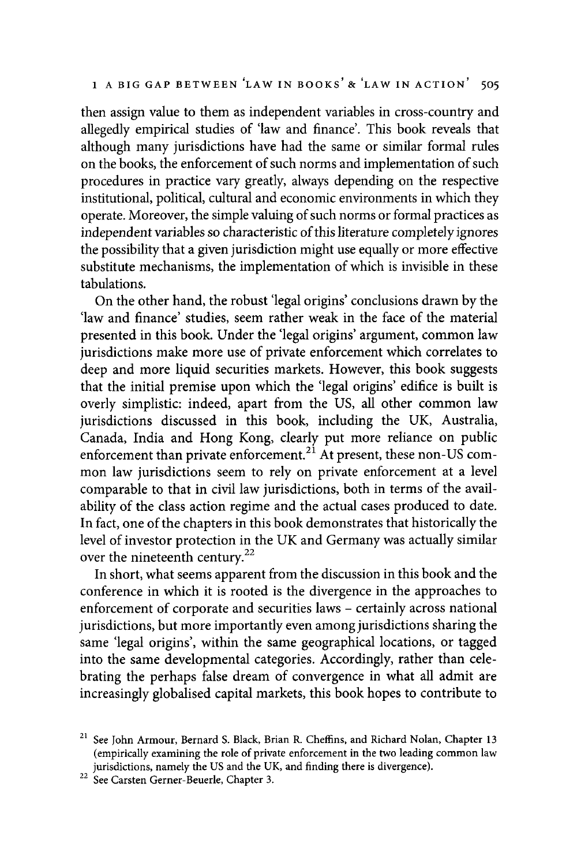#### 1 A BIG GAP BETWEEN 'LAW IN BOOKS' & 'LAW IN ACTION' 505

then assign value to them as independent variables in cross-country and allegedly empirical studies of 'law and finance'. This book reveals that although many jurisdictions have had the same or similar formal rules on the books, the enforcement of such norms and implementation of such procedures in practice vary greatly, always depending on the respective institutional, political, cultural and economic environments in which they operate. Moreover, the simple valuing of such norms or formal practices as independent variables so characteristic of this literature completely ignores the possibility that a given jurisdiction might use equally or more effective substitute mechanisms, the implementation of which is invisible in these tabulations.

On the other hand, the robust 'legal origins' conclusions drawn by the 'law and finance' studies, seem rather weak in the face of the material presented in this book. Under the 'legal origins' argument, common law jurisdictions make more use of private enforcement which correlates to deep and more liquid securities markets. However, this book suggests that the initial premise upon which the 'legal origins' edifice is built is overly simplistic: indeed, apart from the US, all other common law jurisdictions discussed in this book, including the UK, Australia, Canada, India and Hong Kong, clearly put more reliance on public enforcement than private enforcement.<sup>21</sup> At present, these non-US common law jurisdictions seem to rely on private enforcement at a level comparable to that in civil law jurisdictions, both in terms of the availability of the class action regime and the actual cases produced to date. In fact, one of the chapters in this book demonstrates that historically the level of investor protection in the UK and Germany was actually similar over the nineteenth century.<sup>22</sup>

In short, what seems apparent from the discussion in this book and the conference in which it is rooted is the divergence in the approaches to enforcement of corporate and securities laws - certainly across national jurisdictions, but more importantly even among jurisdictions sharing the same 'legal origins', within the same geographical locations, or tagged into the same developmental categories. Accordingly, rather than celebrating the perhaps false dream of convergence in what all admit are increasingly globalised capital markets, this book hopes to contribute to

<sup>&</sup>lt;sup>21</sup> See John Armour, Bernard S. Black, Brian R. Cheffins, and Richard Nolan, Chapter 13 ( empirically examining the role of private enforcement in the two leading common law jurisdictions, namely the US and the UK, and finding there is divergence). 22 See Carsten Gerner-Beuerle, Chapter 3.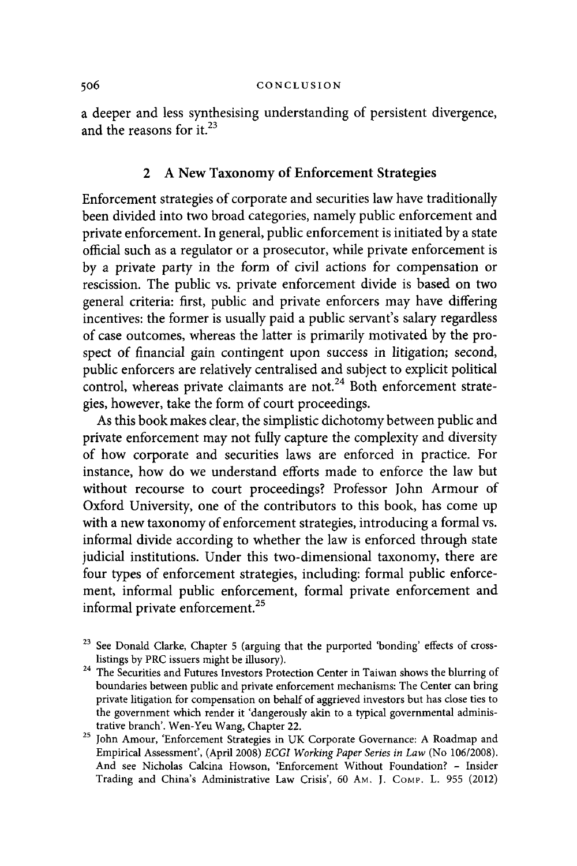#### 506 CONCLUSION

a deeper and less synthesising understanding of persistent divergence, and the reasons for it.<sup>23</sup>

#### **2 A New Taxonomy of Enforcement Strategies**

Enforcement strategies of corporate and securities law have traditionally been divided into two broad categories, namely public enforcement and private enforcement. In general, public enforcement is initiated by a state official such as a regulator or a prosecutor, while private enforcement is by a private party in the form of civil actions for compensation or rescission. The public vs. private enforcement divide is based on two general criteria: first, public and private enforcers may have differing incentives: the former is usually paid a public servant's salary regardless of case outcomes, whereas the latter is primarily motivated by the prospect of financial gain contingent upon success in litigation; second, public enforcers are relatively centralised and subject to explicit political control, whereas private claimants are not.<sup>24</sup> Both enforcement strategies, however, take the form of court proceedings.

As this book makes clear, the simplistic dichotomy between public and private enforcement may not fully capture the complexity and diversity of how corporate and securities laws are enforced in practice. For instance, how do we understand efforts made to enforce the law but without recourse to court proceedings? Professor John Armour of Oxford University, one of the contributors to this book, has come up with a new taxonomy of enforcement strategies, introducing a formal vs. informal divide according to whether the law is enforced through state judicial institutions. Under this two-dimensional taxonomy, there are four types of enforcement strategies, including: formal public enforcement, informal public enforcement, formal private enforcement and informal private enforcement.<sup>25</sup>

- <sup>24</sup> The Securities and Futures Investors Protection Center in Taiwan shows the blurring of boundaries between public and private enforcement mechanisms: The Center can bring private litigation for compensation on behalf of aggrieved investors but has close ties to the government which render it 'dangerously akin to a typical governmental adminis-
- trative branch'. Wen-Yeu Wang, Chapter 22.  $^{25}$  John Amour, 'Enforcement Strategies in UK Corporate Governance: A Roadmap and Empirical Assessment', (April 2008) *ECGI Working Paper Series in Law* (No 106/2008). And see Nicholas Calcina Howson, 'Enforcement Without Foundation? - Insider Trading and China's Administrative Law Crisis', 60 AM. J. CoMP. L. 955 (2012)

<sup>&</sup>lt;sup>23</sup> See Donald Clarke, Chapter 5 (arguing that the purported 'bonding' effects of cross-<br>listings by PRC issuers might be illusory).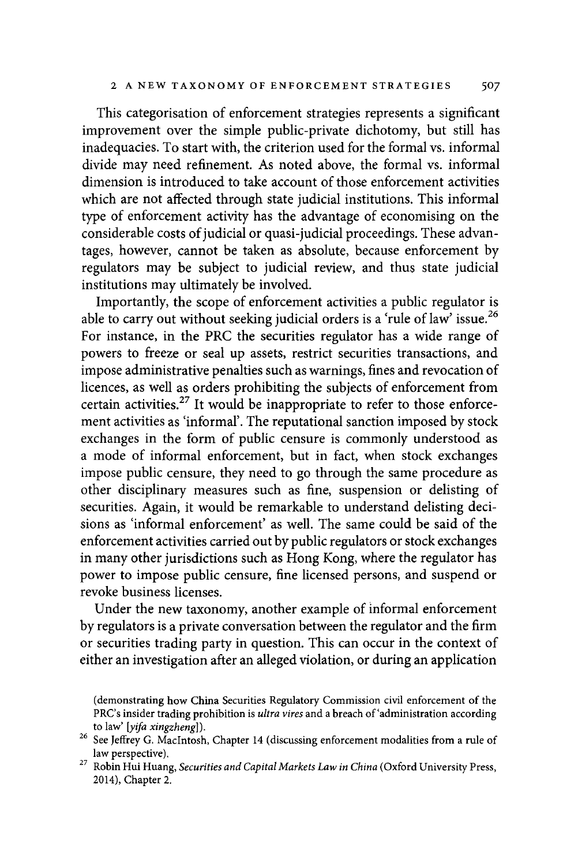This categorisation of enforcement strategies represents a significant improvement over the simple public-private dichotomy, but still has inadequacies. To start with, the criterion used for the formal vs. informal divide may need refinement. As noted above, the formal vs. informal dimension is introduced to take account of those enforcement activities which are not affected through state judicial institutions. This informal type of enforcement activity has the advantage of economising on the considerable costs of judicial or quasi-judicial proceedings. These advantages, however, cannot be taken as absolute, because enforcement by regulators may be subject to judicial review, and thus state judicial institutions may ultimately be involved.

Importantly, the scope of enforcement activities a public regulator is able to carry out without seeking judicial orders is a 'rule of law' issue.<sup>26</sup> For instance, in the PRC the securities regulator has a wide range of powers to freeze or seal up assets, restrict securities transactions, and impose administrative penalties such as warnings, fines and revocation of licences, as well as orders prohibiting the subjects of enforcement from certain activities.<sup>27</sup> It would be inappropriate to refer to those enforcement activities as 'informal'. The reputational sanction imposed by stock exchanges in the form of public censure is commonly understood as a mode of informal enforcement, but in fact, when stock exchanges impose public censure, they need to go through the same procedure as other disciplinary measures such as fine, suspension or delisting of securities. Again, it would be remarkable to understand delisting decisions as 'informal enforcement' as well. The same could be said of the enforcement activities carried out by public regulators or stock exchanges in many other jurisdictions such as Hong Kong, where the regulator has power to impose public censure, fine licensed persons, and suspend or revoke business licenses.

Under the new taxonomy, another example of informal enforcement by regulators is a private conversation between the regulator and the firm or securities trading party in question. This can occur in the context of either an investigation after an alleged violation, or during an application

<sup>(</sup> demonstrating how China Securities Regulatory Commission civil enforcement of the PRC's insider trading prohibition is *ultra vires* and a breach of'administration according

to law' *[yifa xingzheng]).* 26 See Jeffrey G. MacIntosh, Chapter 14 (discussing enforcement modalities from a rule of

law perspective). 27 Robin Hui Huang, *Securities and Capital Markets Law in China* (Oxford University Press, 2014), Chapter 2.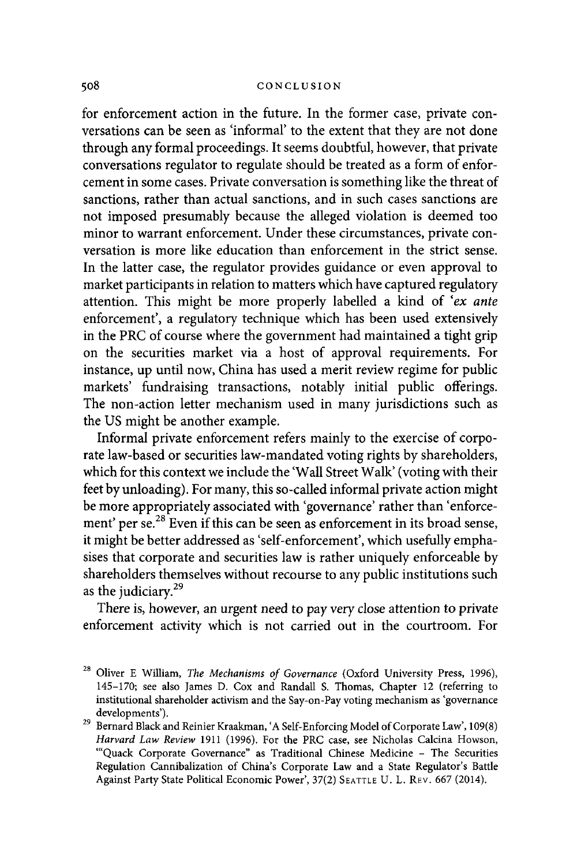#### 508 CONCLUSION

for enforcement action in the future. In the former case, private conversations can be seen as 'informal' to the extent that they are not done through any formal proceedings. It seems doubtful, however, that private conversations regulator to regulate should be treated as a form of enforcement in some cases. Private conversation is something like the threat of sanctions, rather than actual sanctions, and in such cases sanctions are not imposed presumably because the alleged violation is deemed too minor to warrant enforcement. Under these circumstances, private conversation is more like education than enforcement in the strict sense. In the latter case, the regulator provides guidance or even approval to market participants in relation to matters which have captured regulatory attention. This might be more properly labelled a kind of *'ex ante*  enforcement', a regulatory technique which has been used extensively in the PRC of course where the government had maintained a tight grip on the securities market via a host of approval requirements. For instance, up until now, China has used a merit review regime for public markets' fundraising transactions, notably initial public offerings. The non-action letter mechanism used in many jurisdictions such as the US might be another example.

Informal private enforcement refers mainly to the exercise of corporate law-based or securities law-mandated voting rights by shareholders, which for this context we include the 'Wall Street Walk' (voting with their feet by unloading). For many, this so-called informal private action might be more appropriately associated with 'governance' rather than 'enforcement' per se.<sup>28</sup> Even if this can be seen as enforcement in its broad sense, it might be better addressed as 'self-enforcement', which usefully emphasises that corporate and securities law is rather uniquely enforceable by shareholders themselves without recourse to any public institutions such as the judiciary.<sup>29</sup>

There is, however, an urgent need to pay very close attention to private enforcement activity which is not carried out in the courtroom. For

<sup>&</sup>lt;sup>28</sup> Oliver E William, *The Mechanisms of Governance* (Oxford University Press, 1996), 145-170; see also James D. Cox and Randall S. Thomas, Chapter 12 (referring to institutional shareholder activism and the Say-on-Pay voting mechanism as 'governance

developments'). 29 Bernard Black and Reinier Kraakman, 'A Self-Enforcing Model of Corporate Law', 109(8) *Harvard Law Review* 1911 (1996). For the PRC case, see Nicholas Calcina Howson, "'Quack Corporate Governance" as Traditional Chinese Medicine - The Securities Regulation Cannibalization of China's Corporate Law and a State Regulator's Battle Against Party State Political Economic Power', 37(2) SEATTLE U. L. REV. 667 (2014).